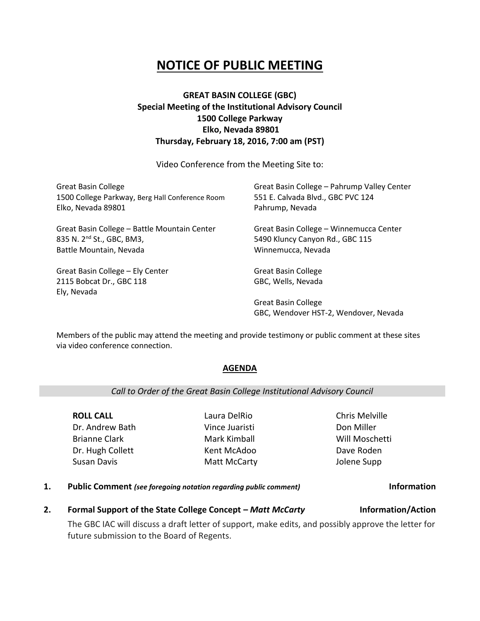# **NOTICE OF PUBLIC MEETING**

# **GREAT BASIN COLLEGE (GBC) Special Meeting of the Institutional Advisory Council 1500 College Parkway Elko, Nevada 89801 Thursday, February 18, 2016, 7:00 am (PST)**

Video Conference from the Meeting Site to:

| <b>Great Basin College</b>                                                  | Great Basin College - Pahrump Valley Center                         |
|-----------------------------------------------------------------------------|---------------------------------------------------------------------|
| 1500 College Parkway, Berg Hall Conference Room                             | 551 E. Calvada Blvd., GBC PVC 124                                   |
| Elko, Nevada 89801                                                          | Pahrump, Nevada                                                     |
| Great Basin College - Battle Mountain Center                                | Great Basin College - Winnemucca Center                             |
| 835 N. 2 <sup>nd</sup> St., GBC, BM3,                                       | 5490 Kluncy Canyon Rd., GBC 115                                     |
| Battle Mountain, Nevada                                                     | Winnemucca, Nevada                                                  |
| Great Basin College - Ely Center<br>2115 Bobcat Dr., GBC 118<br>Ely, Nevada | <b>Great Basin College</b><br>GBC, Wells, Nevada                    |
|                                                                             | <b>Great Basin College</b><br>GBC, Wendover HST-2, Wendover, Nevada |

Members of the public may attend the meeting and provide testimony or public comment at these sites via video conference connection.

# **AGENDA**

### *Call to Order of the Great Basin College Institutional Advisory Council*

**ROLL CALL** Dr. Andrew Bath Brianne Clark Dr. Hugh Collett Susan Davis

Laura DelRio Vince Juaristi Mark Kimball Kent McAdoo Matt McCarty Chris Melville Don Miller Will Moschetti Dave Roden Jolene Supp

**1. Public Comment** *(see foregoing notation regarding public comment)* **Information**

# **2. Formal Support of the State College Concept –** *Matt McCarty* **Information/Action**

The GBC IAC will discuss a draft letter of support, make edits, and possibly approve the letter for future submission to the Board of Regents.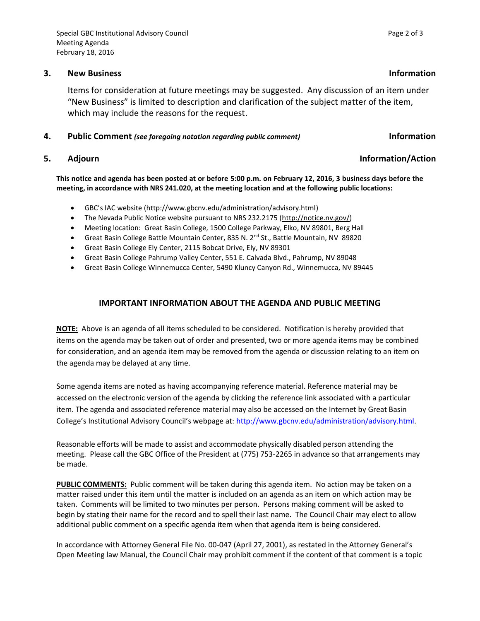### **3. New Business Information**

Items for consideration at future meetings may be suggested. Any discussion of an item under "New Business" is limited to description and clarification of the subject matter of the item, which may include the reasons for the request.

#### **4. Public Comment** *(see foregoing notation regarding public comment)* **Information**

### **5. Adjourn Information/Action**

**This notice and agenda has been posted at or before 5:00 p.m. on February 12, 2016, 3 business days before the meeting, in accordance with NRS 241.020, at the meeting location and at the following public locations:**

- GBC's IAC website (http://www.gbcnv.edu/administration/advisory.html)
- The Nevada Public Notice website pursuant to NRS 232.2175 [\(http://notice.nv.gov/\)](http://notice.nv.gov/)
- Meeting location: Great Basin College, 1500 College Parkway, Elko, NV 89801, Berg Hall
- Great Basin College Battle Mountain Center, 835 N. 2<sup>nd</sup> St., Battle Mountain, NV 89820
- Great Basin College Ely Center, 2115 Bobcat Drive, Ely, NV 89301
- Great Basin College Pahrump Valley Center, 551 E. Calvada Blvd., Pahrump, NV 89048
- Great Basin College Winnemucca Center, 5490 Kluncy Canyon Rd., Winnemucca, NV 89445

### **IMPORTANT INFORMATION ABOUT THE AGENDA AND PUBLIC MEETING**

**NOTE:** Above is an agenda of all items scheduled to be considered. Notification is hereby provided that items on the agenda may be taken out of order and presented, two or more agenda items may be combined for consideration, and an agenda item may be removed from the agenda or discussion relating to an item on the agenda may be delayed at any time.

Some agenda items are noted as having accompanying reference material. Reference material may be accessed on the electronic version of the agenda by clicking the reference link associated with a particular item. The agenda and associated reference material may also be accessed on the Internet by Great Basin College's Institutional Advisory Council's webpage at: [http://www.gbcnv.edu/administration/advisory.html.](http://www.gbcnv.edu/administration/advisory.html)

Reasonable efforts will be made to assist and accommodate physically disabled person attending the meeting. Please call the GBC Office of the President at (775) 753-2265 in advance so that arrangements may be made.

**PUBLIC COMMENTS:** Public comment will be taken during this agenda item. No action may be taken on a matter raised under this item until the matter is included on an agenda as an item on which action may be taken. Comments will be limited to two minutes per person. Persons making comment will be asked to begin by stating their name for the record and to spell their last name. The Council Chair may elect to allow additional public comment on a specific agenda item when that agenda item is being considered.

In accordance with Attorney General File No. 00-047 (April 27, 2001), as restated in the Attorney General's Open Meeting law Manual, the Council Chair may prohibit comment if the content of that comment is a topic